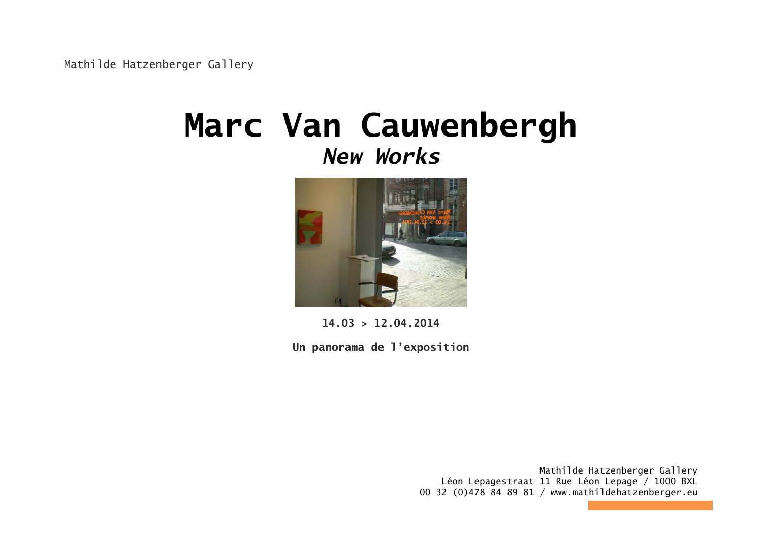Mathilde Hatzenberger Gallery

## **Marc Van Cauwenbergh***New Works*



**14.03 > 12.04.2014** 

**Un panorama de l'exposition**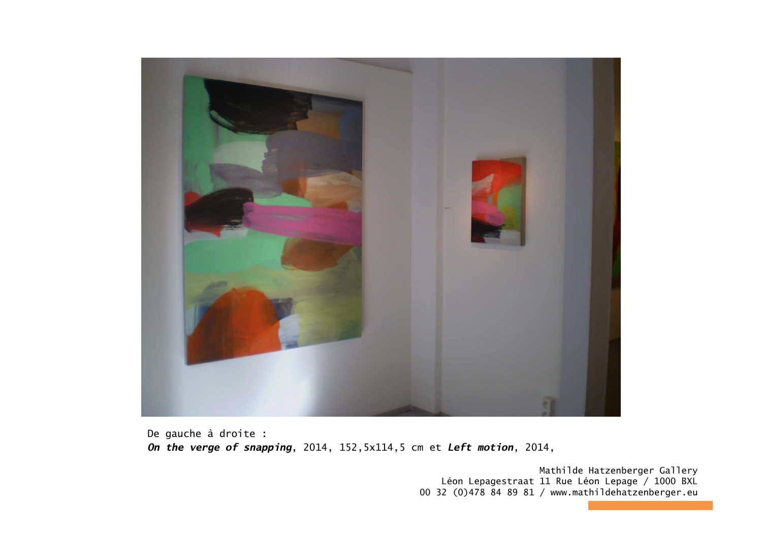

De gauche à droite : *On the verge of snapping*, 2014, 152,5x114,5 cm et *Left motion*, 2014,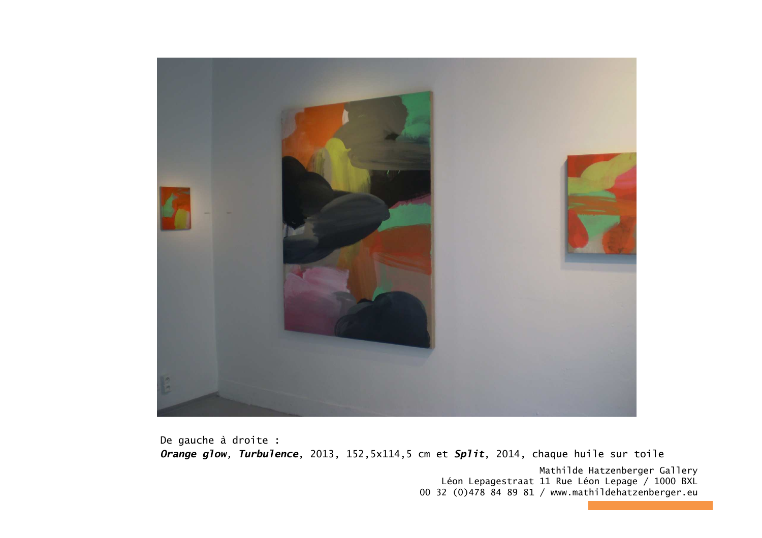

De gauche à droite : *Orange glow, Turbulence*, 2013, 152,5x114,5 cm et *Split*, 2014, chaque huile sur toile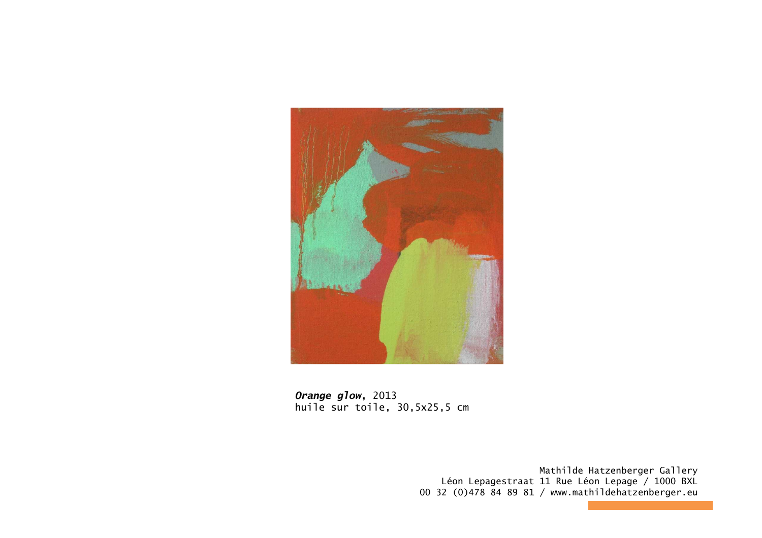

*Orange glow***,** 2013 huile sur toile, 30,5x25,5 cm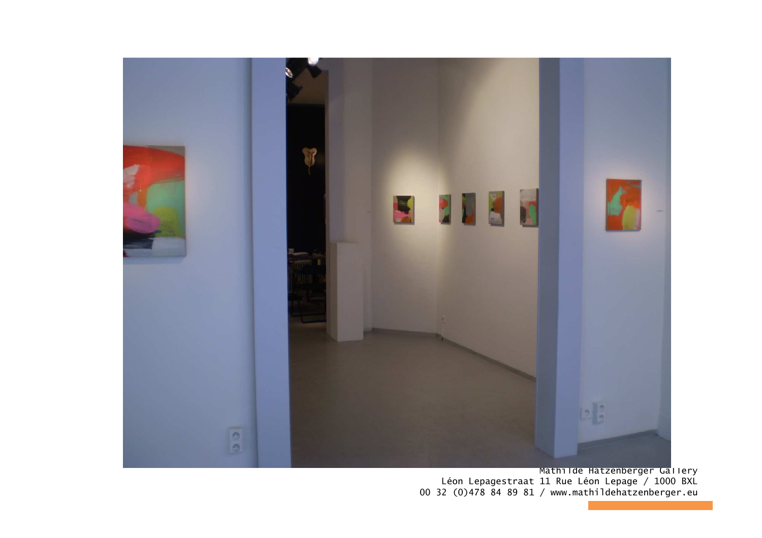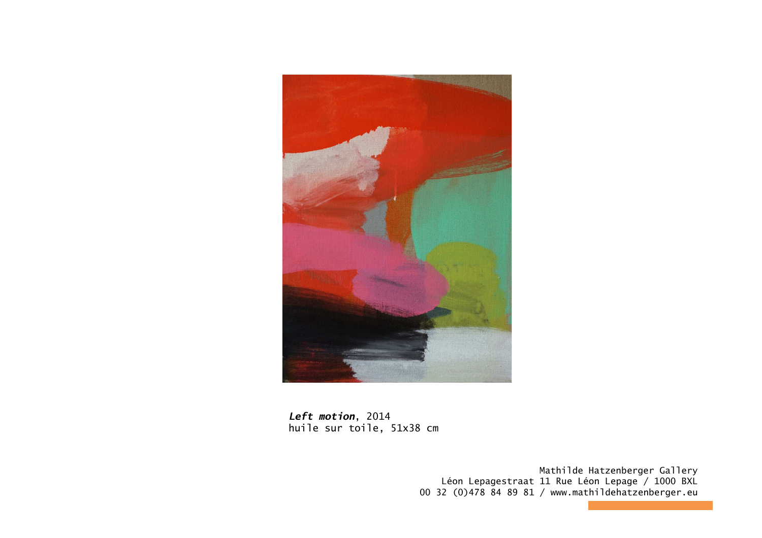

*Left motion*, 2014<br>huile sur toile, 51x38 cm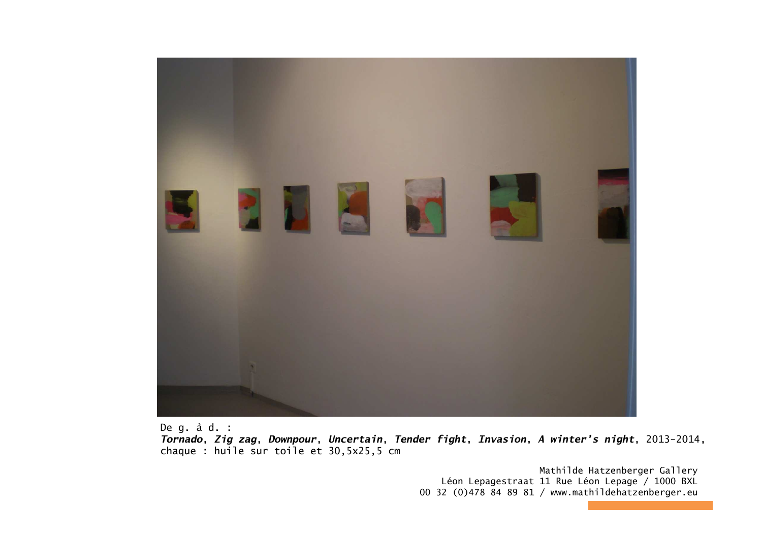

De g. à d. :

 *Tornado*, *Zig zag*, *Downpour*, *Uncertain*, *Tender fight*, *Invasion*, *A winter's night*, 2013-2014, chaque : huile sur toile et 30,5x25,5 cm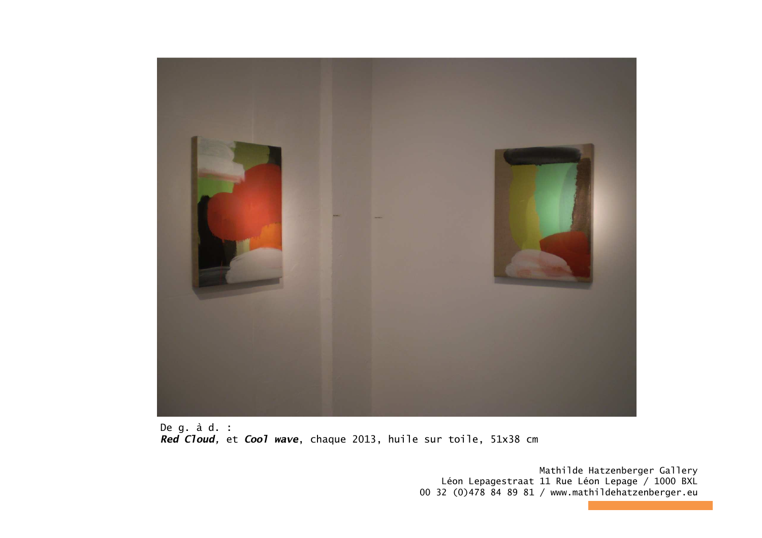

De g. à d. : *Red Cloud,* et *Cool wave*, chaque 2013, huile sur toile, 51x38 cm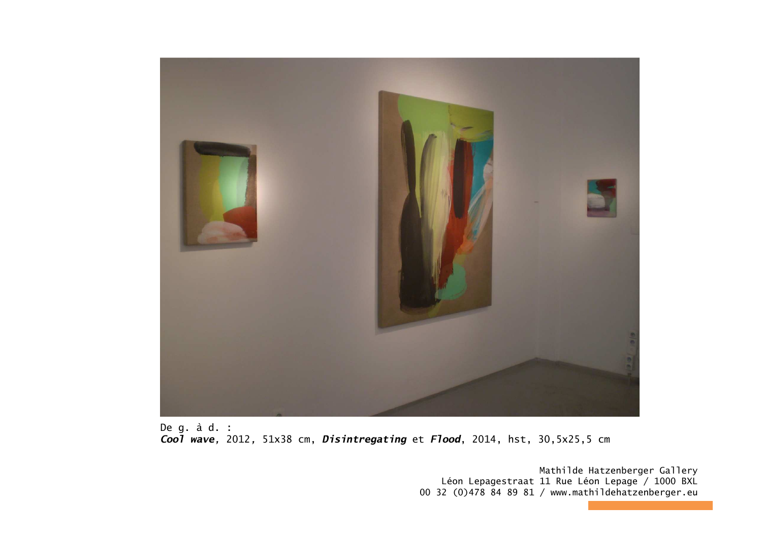

De g. à d. : *Cool wave,* 2012*,* 51x38 cm, *Disintregating* et *Flood*, 2014, hst, 30,5x25,5 cm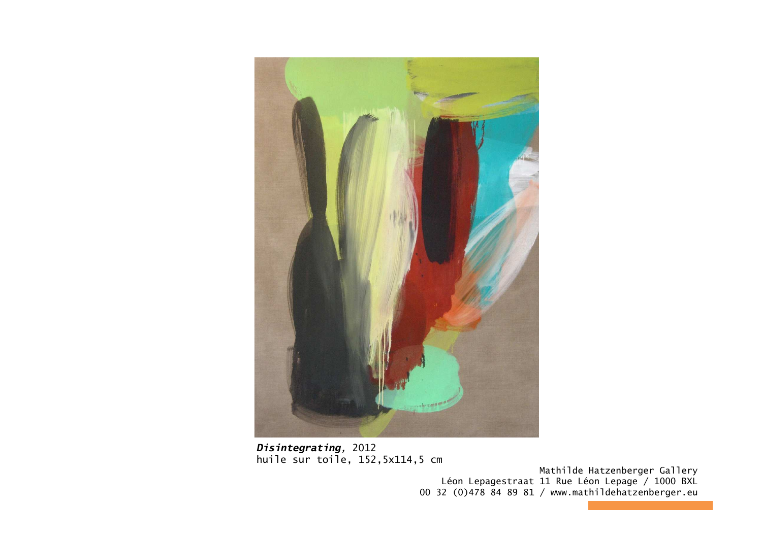

*Disintegrating,* 2012huile sur toile, 152,5x114,5 cm